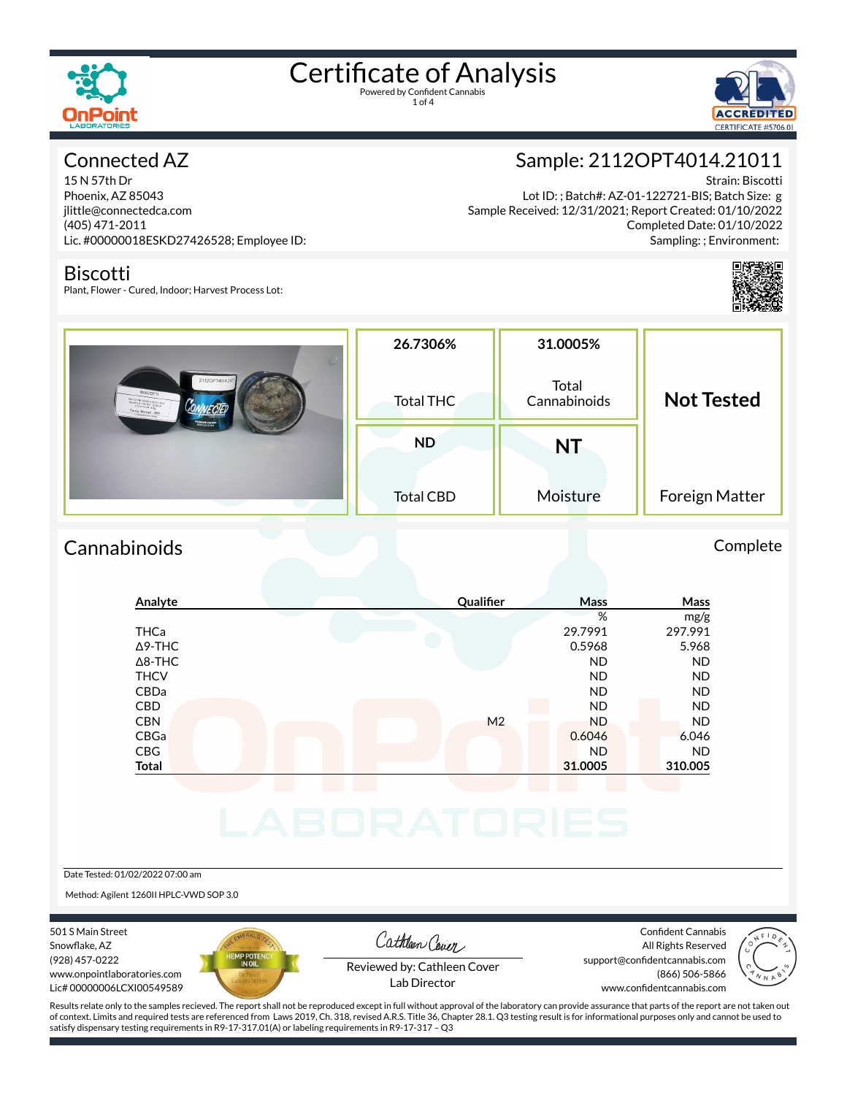

1 of 4



## Connected AZ

15 N 57th Dr Phoenix, AZ 85043 jlittle@connectedca.com (405) 471-2011 Lic. #00000018ESKD27426528; Employee ID:

### Biscotti

Plant, Flower - Cured, Indoor; Harvest Process Lot:

Sample: 2112OPT4014.21011

Strain: Biscotti Lot ID: ; Batch#: AZ-01-122721-BIS; Batch Size: g Sample Received: 12/31/2021; Report Created: 01/10/2022 Completed Date: 01/10/2022 Sampling: ; Environment:



| 2112OPT401421<br><b>BISCOTTI</b><br><b>LATCH # AZ 01-122721 #15</b><br>emp Stored : 65P<br><b>Chamber Stationisms</b><br><b>ELECTRICIAN</b> | 26.7306%<br>Total THC | 31.0005%<br>Total<br>Cannabinoids | <b>Not Tested</b> |
|---------------------------------------------------------------------------------------------------------------------------------------------|-----------------------|-----------------------------------|-------------------|
|                                                                                                                                             | <b>ND</b>             | <b>NT</b>                         |                   |
|                                                                                                                                             | <b>Total CBD</b>      | Moisture                          | Foreign Matter    |

## Cannabinoids Complete

### **Analyte Qualier Mass Mass** % mg/g THCa 29.7991 297.991  $\Delta$ 9-THC 6.5968 5.968 5.968 Δ8-THC ND ND THCV ND ND CBDa ND ND CBD A RESIDENCE OF A RESIDENCE OF A RESIDENCE OF A RESIDENCE OF A RESIDENCE OF A RESIDENCE OF A RESIDENCE OF A CBN M2 ND ND ND ND CBGa 0.6046 6.046 CBG ND ND **Total 31.0005 310.005**

Date Tested: 01/02/2022 07:00 am

Method: Agilent 1260II HPLC-VWD SOP 3.0

501 S Main Street Snowflake, AZ (928) 457-0222 www.onpointlaboratories.com Lic# 00000006LCXI00549589



Cathleen Cover

Confident Cannabis All Rights Reserved support@confidentcannabis.com (866) 506-5866



Reviewed by: Cathleen Cover Lab Director

www.confidentcannabis.com

Results relate only to the samples recieved. The report shall not be reproduced except in full without approval of the laboratory can provide assurance that parts of the report are not taken out of context. Limits and required tests are referenced from Laws 2019, Ch. 318, revised A.R.S. Title 36, Chapter 28.1. Q3 testing result is for informational purposes only and cannot be used to satisfy dispensary testing requirements in R9-17-317.01(A) or labeling requirements in R9-17-317 – Q3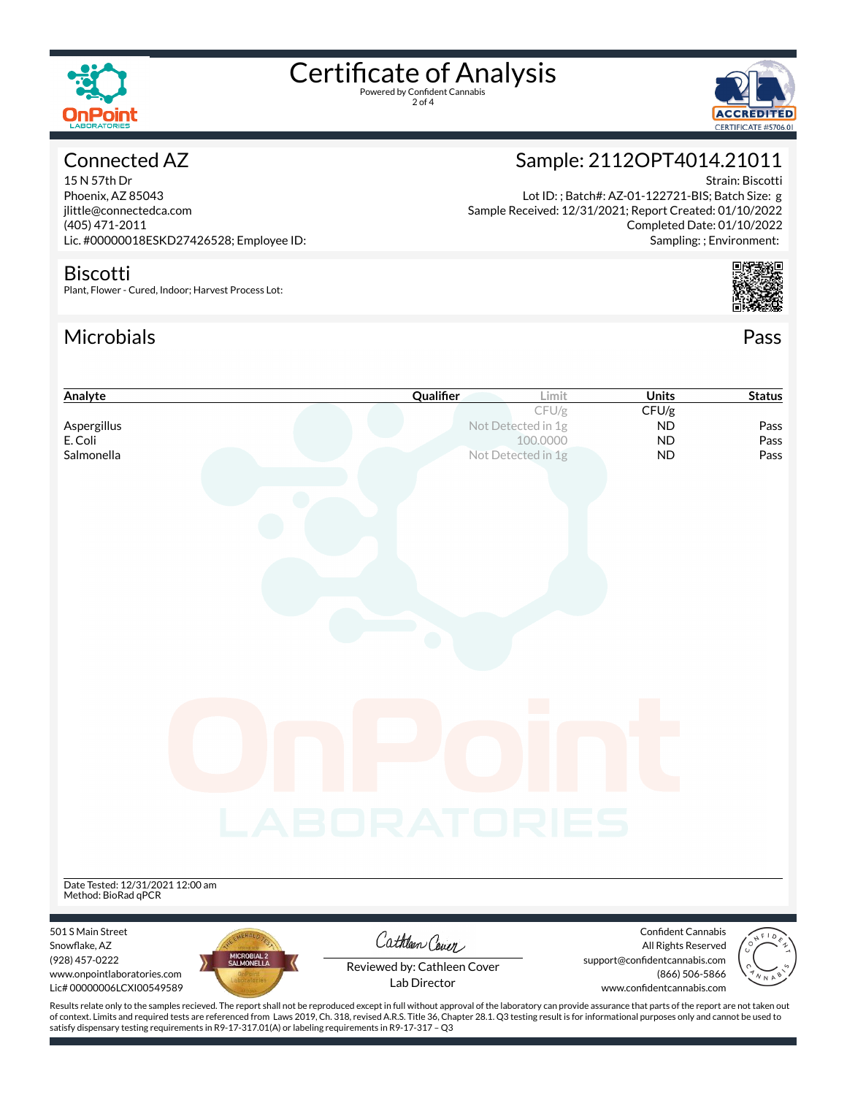

2 of 4





Strain: Biscotti

Completed Date: 01/10/2022

Sample: 2112OPT4014.21011

Lot ID: ; Batch#: AZ-01-122721-BIS; Batch Size: g

Sample Received: 12/31/2021; Report Created: 01/10/2022

# Connected AZ

15 N 57th Dr Phoenix, AZ 85043 jlittle@connectedca.com (405) 471-2011 Lic. #00000018ESKD27426528; Employee ID:

### Biscotti

Plant, Flower - Cured, Indoor; Harvest Process Lot:

satisfy dispensary testing requirements in R9-17-317.01(A) or labeling requirements in R9-17-317 – Q3

## Microbials Pass



| Analyte                                                                                                                                                                                                                                                                                                                                                                                               | Qualifier                   | Limit                          | <b>Units</b>                              | <b>Status</b> |
|-------------------------------------------------------------------------------------------------------------------------------------------------------------------------------------------------------------------------------------------------------------------------------------------------------------------------------------------------------------------------------------------------------|-----------------------------|--------------------------------|-------------------------------------------|---------------|
|                                                                                                                                                                                                                                                                                                                                                                                                       |                             | CFU/g                          | CFU/g                                     |               |
| Aspergillus                                                                                                                                                                                                                                                                                                                                                                                           |                             | Not Detected in 1g             | <b>ND</b>                                 | Pass          |
| E. Coli<br>Salmonella                                                                                                                                                                                                                                                                                                                                                                                 |                             | 100.0000<br>Not Detected in 1g | <b>ND</b><br><b>ND</b>                    | Pass<br>Pass  |
|                                                                                                                                                                                                                                                                                                                                                                                                       |                             |                                |                                           |               |
|                                                                                                                                                                                                                                                                                                                                                                                                       |                             |                                |                                           |               |
|                                                                                                                                                                                                                                                                                                                                                                                                       |                             |                                |                                           |               |
|                                                                                                                                                                                                                                                                                                                                                                                                       |                             |                                |                                           |               |
|                                                                                                                                                                                                                                                                                                                                                                                                       |                             |                                |                                           |               |
|                                                                                                                                                                                                                                                                                                                                                                                                       |                             |                                |                                           |               |
|                                                                                                                                                                                                                                                                                                                                                                                                       |                             |                                |                                           |               |
|                                                                                                                                                                                                                                                                                                                                                                                                       |                             |                                |                                           |               |
|                                                                                                                                                                                                                                                                                                                                                                                                       |                             |                                |                                           |               |
|                                                                                                                                                                                                                                                                                                                                                                                                       |                             |                                |                                           |               |
|                                                                                                                                                                                                                                                                                                                                                                                                       |                             |                                |                                           |               |
|                                                                                                                                                                                                                                                                                                                                                                                                       |                             |                                |                                           |               |
|                                                                                                                                                                                                                                                                                                                                                                                                       |                             |                                |                                           |               |
|                                                                                                                                                                                                                                                                                                                                                                                                       |                             |                                |                                           |               |
|                                                                                                                                                                                                                                                                                                                                                                                                       |                             |                                |                                           |               |
|                                                                                                                                                                                                                                                                                                                                                                                                       |                             |                                |                                           |               |
|                                                                                                                                                                                                                                                                                                                                                                                                       |                             |                                |                                           |               |
|                                                                                                                                                                                                                                                                                                                                                                                                       |                             |                                |                                           |               |
|                                                                                                                                                                                                                                                                                                                                                                                                       |                             |                                |                                           |               |
|                                                                                                                                                                                                                                                                                                                                                                                                       |                             |                                |                                           |               |
|                                                                                                                                                                                                                                                                                                                                                                                                       | <b>LABORATORIES</b>         |                                |                                           |               |
|                                                                                                                                                                                                                                                                                                                                                                                                       |                             |                                |                                           |               |
|                                                                                                                                                                                                                                                                                                                                                                                                       |                             |                                |                                           |               |
|                                                                                                                                                                                                                                                                                                                                                                                                       |                             |                                |                                           |               |
| Date Tested: 12/31/2021 12:00 am                                                                                                                                                                                                                                                                                                                                                                      |                             |                                |                                           |               |
| Method: BioRad qPCR                                                                                                                                                                                                                                                                                                                                                                                   |                             |                                |                                           |               |
|                                                                                                                                                                                                                                                                                                                                                                                                       |                             |                                |                                           |               |
| 501 S Main Street<br>Snowflake, AZ                                                                                                                                                                                                                                                                                                                                                                    | Cathleen Cover              |                                | Confident Cannabis<br>All Rights Reserved |               |
| MICROBIAL 2<br>SALMONELLA<br>(928) 457-0222                                                                                                                                                                                                                                                                                                                                                           |                             |                                | support@confidentcannabis.com             |               |
| www.onpointlaboratories.com                                                                                                                                                                                                                                                                                                                                                                           | Reviewed by: Cathleen Cover |                                | (866) 506-5866                            |               |
| Lic# 00000006LCXI00549589                                                                                                                                                                                                                                                                                                                                                                             | Lab Director                |                                | www.confidentcannabis.com                 |               |
| Results relate only to the samples recieved. The report shall not be reproduced except in full without approval of the laboratory can provide assurance that parts of the report are not taken out<br>of context. Limits and required tests are referenced from Laws 2019, Ch. 318, revised A.R.S. Title 36, Chapter 28.1. Q3 testing result is for informational purposes only and cannot be used to |                             |                                |                                           |               |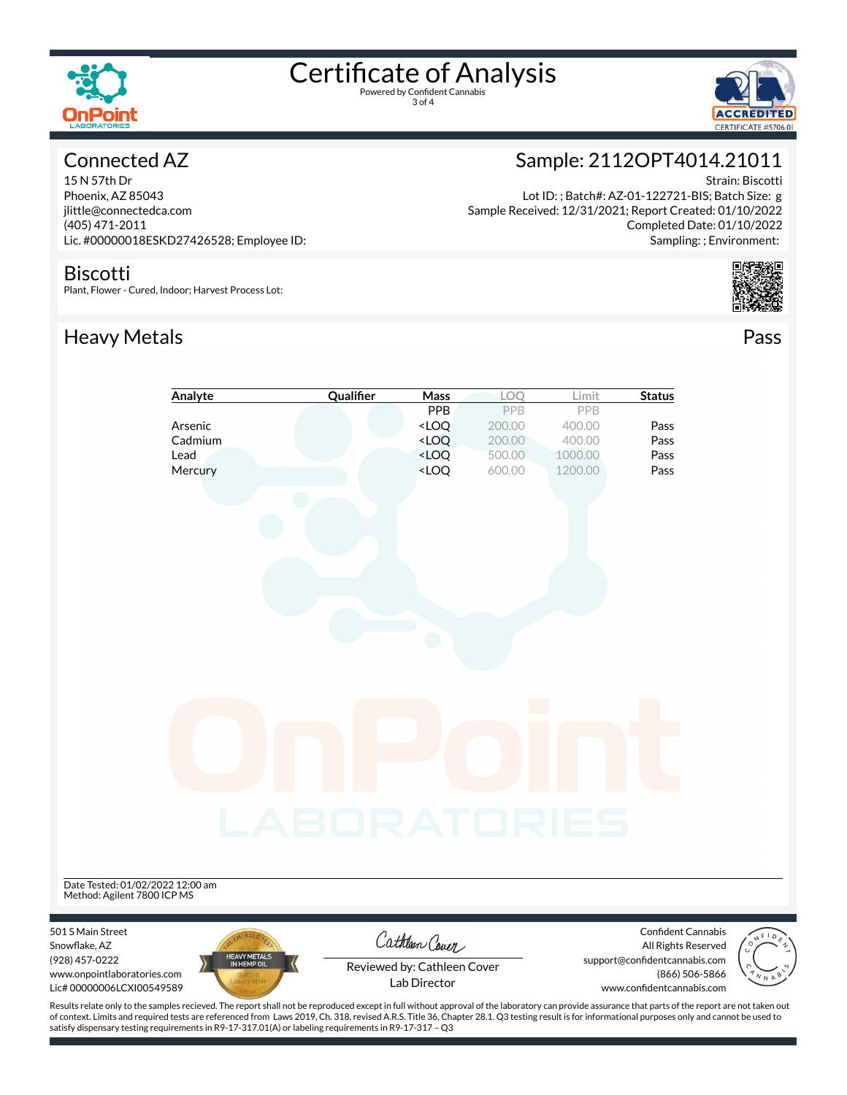

3 of 4



# Connected AZ

15 N 57th Dr Phoenix, AZ 85043 jlittle@connectedca.com (405) 471-2011 Lic. #00000018ESKD27426528; Employee ID:

### Biscotti

Plant, Flower - Cured, Indoor; Harvest Process Lot:

# Heavy Metals **Pass**



Lot ID: ; Batch#: AZ-01-122721-BIS; Batch Size: g Sample Received: 12/31/2021; Report Created: 01/10/2022 Completed Date: 01/10/2022 Sampling: ; Environment:





Results relate only to the samples recieved. The report shall not be reproduced except in full without approval of the laboratory can provide assurance that parts of the report are not taken out of context. Limits and required tests are referenced from Laws 2019, Ch. 318, revised A.R.S. Title 36, Chapter 28.1. Q3 testing result is for informational purposes only and cannot be used to satisfy dispensary testing requirements in R9-17-317.01(A) or labeling requirements in R9-17-317 – Q3